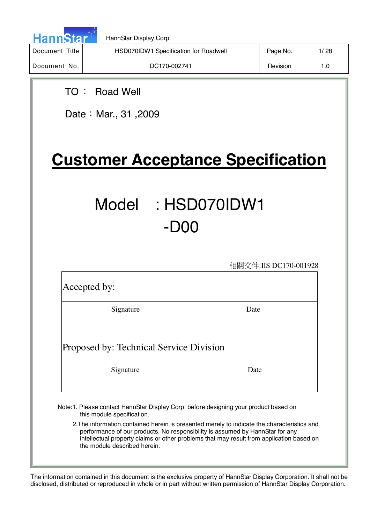

| Document Title | HSD070IDW1 Specification for Roadwell | Page No. | 1/28 |
|----------------|---------------------------------------|----------|------|
| Document No.   | DC170-002741                          | Revision | 1.0  |

# TO ! Road Well

Date: Mar., 31, 2009

# **Customer Acceptance Specification**

# Model : HSD070IDW1 -D00

相關文件:IIS DC170-001928

Accepted by:

Signature Date

Proposed by: Technical Service Division

Signature Date

Note:1. Please contact HannStar Display Corp. before designing your product based on this module specification.

2.The information contained herein is presented merely to indicate the characteristics and performance of our products. No responsibility is assumed by HannStar for any intellectual property claims or other problems that may result from application based on the module described herein.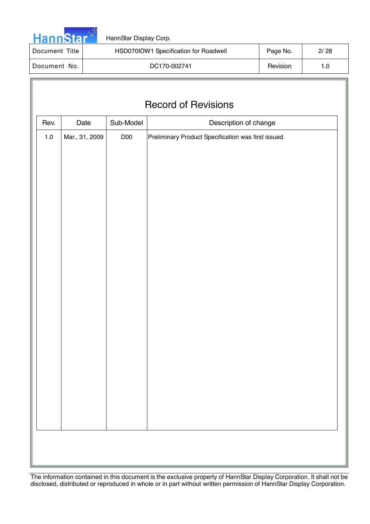

| Document Title | HSD070IDW1 Specification for Roadwell | Page No. | 2/28 |
|----------------|---------------------------------------|----------|------|
| Document No.   | DC170-002741                          | Revision |      |

# Record of Revisions

| Rev.    | Date           | Sub-Model | Description of change                               |
|---------|----------------|-----------|-----------------------------------------------------|
| $1.0\,$ | Mar., 31, 2009 | D00       | Preliminary Product Specification was first issued. |
|         |                |           |                                                     |
|         |                |           |                                                     |
|         |                |           |                                                     |
|         |                |           |                                                     |
|         |                |           |                                                     |
|         |                |           |                                                     |
|         |                |           |                                                     |
|         |                |           |                                                     |
|         |                |           |                                                     |
|         |                |           |                                                     |
|         |                |           |                                                     |
|         |                |           |                                                     |
|         |                |           |                                                     |
|         |                |           |                                                     |
|         |                |           |                                                     |
|         |                |           |                                                     |
|         |                |           |                                                     |
|         |                |           |                                                     |
|         |                |           |                                                     |
|         |                |           |                                                     |
|         |                |           |                                                     |
|         |                |           |                                                     |
|         |                |           |                                                     |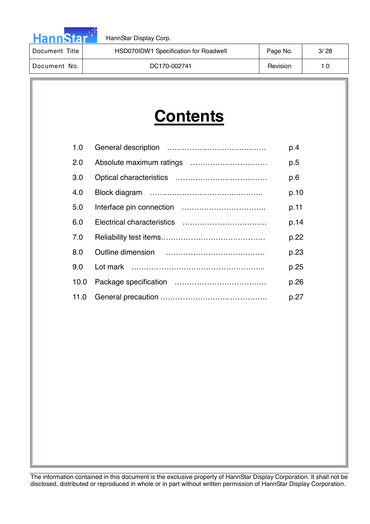

| Document Title | HSD070IDW1 Specification for Roadwell | Page No. | 3/28 |
|----------------|---------------------------------------|----------|------|
| Document No.   | DC170-002741                          |          | 1.0  |

# **Contents**

| 1.0  | p.4  |
|------|------|
| 2.0  | p.5  |
| 3.0  | p.6  |
| 4.0  | p.10 |
| 5.0  | p.11 |
| 6.0  | p.14 |
| 7.0  | p.22 |
| 8.0  | p.23 |
| 9.0  | p.25 |
| 10.0 | p.26 |
| 11.0 | p.27 |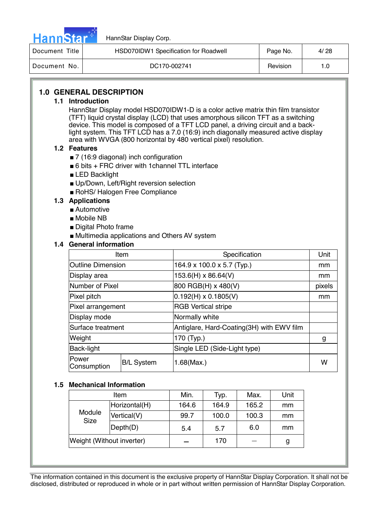

| Document Title | HSD070IDW1 Specification for Roadwell | Page No. | 4/28 |
|----------------|---------------------------------------|----------|------|
| Document No.   | DC170-002741                          | Revision | 1.0  |

# **1.0 GENERAL DESCRIPTION**

#### **1.1 Introduction**

HannStar Display model HSD070IDW1-D is a color active matrix thin film transistor (TFT) liquid crystal display (LCD) that uses amorphous silicon TFT as a switching device. This model is composed of a TFT LCD panel, a driving circuit and a backlight system. This TFT LCD has a 7.0 (16:9) inch diagonally measured active display area with WVGA (800 horizontal by 480 vertical pixel) resolution.

#### **1.2 Features**

- 7 (16:9 diagonal) inch configuration
- 6 bits + FRC driver with 1 channel TTL interface
- LED Backlight
- Up/Down, Left/Right reversion selection
- RoHS/ Halogen Free Compliance

#### **1.3 Applications**

- Automotive
- Mobile NB
- Digital Photo frame
- Multimedia applications and Others AV system

#### **1.4 General information**

|                          | Item              | Specification                             | Unit   |
|--------------------------|-------------------|-------------------------------------------|--------|
| <b>Outline Dimension</b> |                   | 164.9 x 100.0 x 5.7 (Typ.)                | mm     |
| Display area             |                   | 153.6(H) x 86.64(V)                       | mm     |
| Number of Pixel          |                   | 800 RGB(H) x 480(V)                       | pixels |
| Pixel pitch              |                   | $0.192(H) \times 0.1805(V)$               | mm     |
| Pixel arrangement        |                   | <b>RGB Vertical stripe</b>                |        |
| Display mode             |                   | Normally white                            |        |
| Surface treatment        |                   | Antiglare, Hard-Coating(3H) with EWV film |        |
| Weight                   |                   | 170 (Typ.)                                | g      |
| Back-light               |                   | Single LED (Side-Light type)              |        |
| lPower<br>Consumption    | <b>B/L System</b> | 1.68(Max.)                                | w      |

#### **1.5 Mechanical Information**

| Item                      |               | Min.  | Typ.  | Max.  | Unit |
|---------------------------|---------------|-------|-------|-------|------|
| Module<br><b>Size</b>     | Horizontal(H) | 164.6 | 164.9 | 165.2 | mm   |
|                           | Vertical(V)   | 99.7  | 100.0 | 100.3 | mm   |
|                           | Depth(D)      | 5.4   | 5.7   | 6.0   | mm   |
| Weight (Without inverter) |               |       | 170   |       | g    |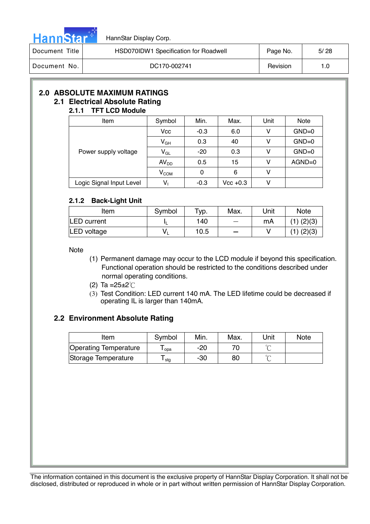

| Document Title | HSD070IDW1 Specification for Roadwell | Page No. | 5/28 |
|----------------|---------------------------------------|----------|------|
| Document No.   | DC170-002741                          | Revision |      |

# **2.0 ABSOLUTE MAXIMUM RATINGS 2.1 Electrical Absolute Rating**

#### **2.1.1 TFT LCD Module**

| Item                     | Symbol           | Min.   | Max.        | Unit | <b>Note</b> |
|--------------------------|------------------|--------|-------------|------|-------------|
| Power supply voltage     | <b>Vcc</b>       | $-0.3$ | 6.0         | v    | $GND=0$     |
|                          | $V_{GH}$         | 0.3    | 40          |      | $GND=0$     |
|                          | $V_{GL}$         | $-20$  | 0.3         |      | $GND=0$     |
|                          | AV <sub>DD</sub> | 0.5    | 15          |      | $AGND=0$    |
|                          | $V_{COM}$        | 0      | 6           |      |             |
| Logic Signal Input Level | $V_1$            | $-0.3$ | $Vec + 0.3$ |      |             |

#### **2.1.2 Back-Light Unit**

| Item        | Symbol | $TVP$ . | Max.                     | Unit | <b>Note</b>    |
|-------------|--------|---------|--------------------------|------|----------------|
| LED current |        | 140     | $\overline{\phantom{0}}$ | mA   | $(1)$ $(2)(3)$ |
| LED voltage | v.     | 10.5    |                          |      | $(1)$ $(2)(3)$ |

Note

- (1) Permanent damage may occur to the LCD module if beyond this specification. Functional operation should be restricted to the conditions described under normal operating conditions.
- (2) Ta = $25 \pm 2^{\circ}$ C
- (3) Test Condition: LED current 140 mA. The LED lifetime could be decreased if operating IL is larger than 140mA.

# **2.2 Environment Absolute Rating**

| Item                         | Symbol | Min. | Max. | Unit | <b>Note</b> |
|------------------------------|--------|------|------|------|-------------|
| <b>Operating Temperature</b> | opa    | -20  |      |      |             |
| Storage Temperature          | stg    | -30  | 80   | ∽    |             |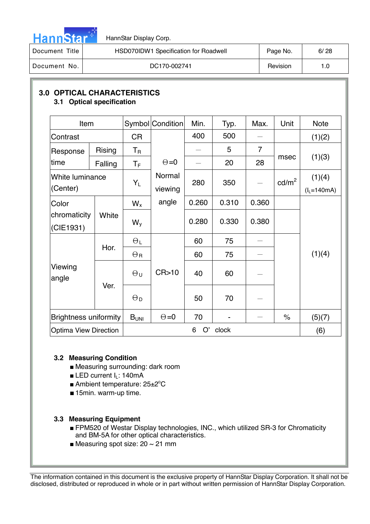

| Document Title | HSD070IDW1 Specification for Roadwell | Page No. | 6/28 |
|----------------|---------------------------------------|----------|------|
| Document No.   | DC170-002741                          | Revision |      |

### **3.0 OPTICAL CHARACTERISTICS 3.1 Optical specification**

| Item                         |                              |                         | Symbol Condition | Min.    | Typ.  | Max.           | Unit            | <b>Note</b>     |
|------------------------------|------------------------------|-------------------------|------------------|---------|-------|----------------|-----------------|-----------------|
| Contrast                     |                              | <b>CR</b>               |                  | 400     | 500   |                |                 | (1)(2)          |
| Response                     | <b>Rising</b>                | $\mathsf T_{\mathsf R}$ |                  |         | 5     | $\overline{7}$ |                 |                 |
| time                         | Falling                      | ТF                      | $\Theta = 0$     |         | 20    | 28             | msec            | (1)(3)          |
| White luminance              |                              | $Y_L$                   | Normal           | 280     | 350   | $\frac{1}{1}$  | $\text{cd/m}^2$ | (1)(4)          |
| (Center)                     |                              |                         | viewing          |         |       |                |                 | $(l_L = 140mA)$ |
| Color                        |                              | $W_{x}$                 | angle            | 0.260   | 0.310 | 0.360          |                 |                 |
| chromaticity<br>(CIE1931)    | White                        | $W_{V}$                 |                  | 0.280   | 0.330 | 0.380          |                 |                 |
|                              |                              | $\Theta_L$              |                  | 60      | 75    |                |                 |                 |
|                              | Hor.                         | $\Theta$ R              |                  | 60      | 75    |                |                 | (1)(4)          |
| Viewing<br>angle             |                              | $\Theta$ u              | CR > 10          | 40      | 60    |                |                 |                 |
|                              | Ver.                         | $\Theta_{\mathsf{D}}$   |                  | 50      | 70    |                |                 |                 |
| <b>Brightness uniformity</b> |                              | B <sub>UNI</sub>        | $\Theta = 0$     | 70      |       |                | $\%$            | (5)(7)          |
|                              | <b>Optima View Direction</b> |                         |                  | O'<br>6 | clock |                |                 | (6)             |

# **3.2 Measuring Condition**

- Measuring surrounding: dark room
- **ELED current**  $I_L$ **: 140mA**
- Ambient temperature: 25±2°C
- 15min. warm-up time.

#### **3.3 Measuring Equipment**

- FPM520 of Westar Display technologies, INC., which utilized SR-3 for Chromaticity and BM-5A for other optical characteristics.
- Measuring spot size:  $20 \sim 21$  mm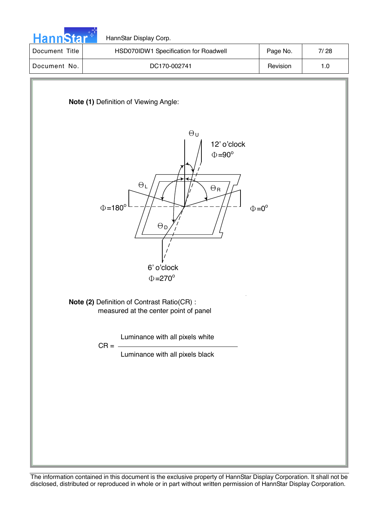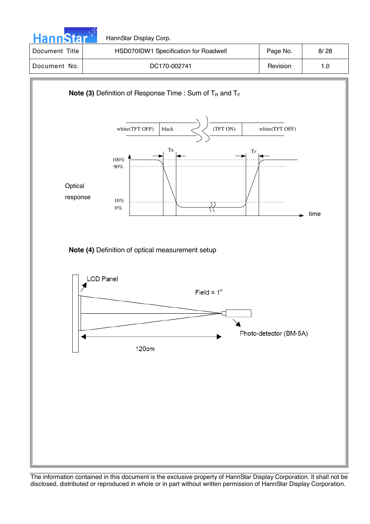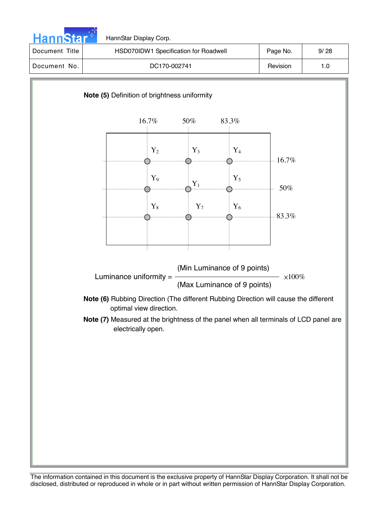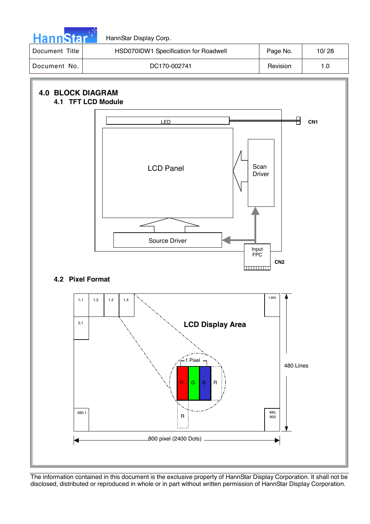

HannStar Display Corp.

| Document Title | HSD070IDW1 Specification for Roadwell | Page No. | 10/28 |
|----------------|---------------------------------------|----------|-------|
| Document No.   | DC170-002741                          | Revision |       |

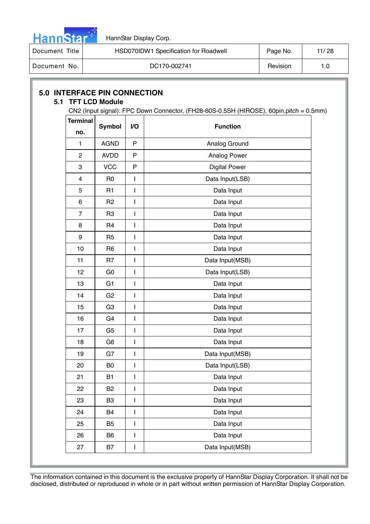

| Document Title | HSD070IDW1 Specification for Roadwell | Page No. | 11/28 |
|----------------|---------------------------------------|----------|-------|
| Document No.   | DC170-002741                          | Revision | 1.0   |

# **5.0 INTERFACE PIN CONNECTION**

### **5.1 TFT LCD Module**

CN2 (Input signal): FPC Down Connector, (FH28-60S-0.5SH (HIROSE), 60pin,pitch = 0.5mm)

| <b>Terminal</b> | <b>Symbol</b>  | I/O          | <b>Function</b>      |  |  |
|-----------------|----------------|--------------|----------------------|--|--|
| no.             |                |              |                      |  |  |
| 1               | <b>AGND</b>    | $\mathsf{P}$ | Analog Ground        |  |  |
| $\overline{2}$  | <b>AVDD</b>    | P            | Analog Power         |  |  |
| 3               | <b>VCC</b>     | $\mathsf{P}$ | <b>Digital Power</b> |  |  |
| 4               | R <sub>0</sub> | I            | Data Input(LSB)      |  |  |
| 5               | R <sub>1</sub> | I            | Data Input           |  |  |
| 6               | R <sub>2</sub> | I            | Data Input           |  |  |
| $\overline{7}$  | R <sub>3</sub> | I            | Data Input           |  |  |
| 8               | R <sub>4</sub> | I            | Data Input           |  |  |
| 9               | R <sub>5</sub> | I            | Data Input           |  |  |
| 10              | R <sub>6</sub> | I            | Data Input           |  |  |
| 11              | R <sub>7</sub> | I            | Data Input(MSB)      |  |  |
| 12              | G <sub>0</sub> | I            | Data Input(LSB)      |  |  |
| 13              | G <sub>1</sub> | I            | Data Input           |  |  |
| 14              | G <sub>2</sub> | I            | Data Input           |  |  |
| 15              | G <sub>3</sub> | I            | Data Input           |  |  |
| 16              | G <sub>4</sub> | I            | Data Input           |  |  |
| 17              | G <sub>5</sub> | I            | Data Input           |  |  |
| 18              | G <sub>6</sub> | I            | Data Input           |  |  |
| 19              | G7             | $\mathsf{I}$ | Data Input(MSB)      |  |  |
| 20              | B <sub>0</sub> | I            | Data Input(LSB)      |  |  |
| 21              | B <sub>1</sub> | I            | Data Input           |  |  |
| 22              | B <sub>2</sub> | I            | Data Input           |  |  |
| 23              | B3             | I            | Data Input           |  |  |
| 24              | B4             | I            | Data Input           |  |  |
| 25              | B <sub>5</sub> | I            | Data Input           |  |  |
| 26              | B <sub>6</sub> | I            | Data Input           |  |  |
| 27              | <b>B7</b>      | I            | Data Input(MSB)      |  |  |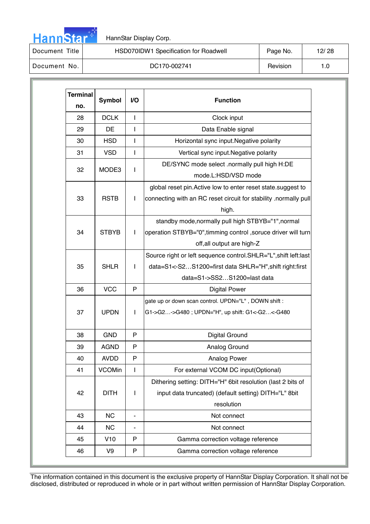

Document Title | HSD070IDW1 Specification for Roadwell | Page No. | 12/28

Document No. 1.0

| <b>Terminal</b><br>no. | Symbol        | V <sub>O</sub> | <b>Function</b>                                                   |  |
|------------------------|---------------|----------------|-------------------------------------------------------------------|--|
| 28                     | <b>DCLK</b>   | L              | Clock input                                                       |  |
| 29                     | DE            | L              | Data Enable signal                                                |  |
| 30                     | <b>HSD</b>    | I              | Horizontal sync input. Negative polarity                          |  |
| 31                     | <b>VSD</b>    | L              | Vertical sync input. Negative polarity                            |  |
|                        |               | L              | DE/SYNC mode select .normally pull high H:DE                      |  |
| 32                     | MODE3         |                | mode.L:HSD/VSD mode                                               |  |
|                        |               |                | global reset pin. Active low to enter reset state. suggest to     |  |
| 33                     | <b>RSTB</b>   | I              | connecting with an RC reset circuit for stability .normally pull  |  |
|                        |               |                | high.                                                             |  |
|                        |               |                | standby mode, normally pull high STBYB="1", normal                |  |
| 34                     | <b>STBYB</b>  | L              | operation STBYB="0",timming control , soruce driver will turn     |  |
|                        |               |                | off, all output are high-Z                                        |  |
|                        |               |                | Source right or left sequence control. SHLR="L", shift left: last |  |
| 35                     | <b>SHLR</b>   | I              | data=S1<-S2S1200=first data SHLR="H", shift right:first           |  |
|                        |               |                | data=S1->SS2S1200=last data                                       |  |
| 36                     | <b>VCC</b>    | P              | <b>Digital Power</b>                                              |  |
|                        |               |                | gate up or down scan control. UPDN="L", DOWN shift:               |  |
| 37                     | <b>UPDN</b>   | L              | G1->G2->G480; UPDN="H", up shift: G1<-G2<-G480                    |  |
| 38                     | <b>GND</b>    | P              | <b>Digital Ground</b>                                             |  |
| 39                     | <b>AGND</b>   | P              | Analog Ground                                                     |  |
| 40                     | <b>AVDD</b>   | P              | Analog Power                                                      |  |
| 41                     | <b>VCOMin</b> | I              | For external VCOM DC input(Optional)                              |  |
|                        |               |                | Dithering setting: DITH="H" 6bit resolution (last 2 bits of       |  |
| 42                     | <b>DITH</b>   | I              | input data truncated) (default setting) DITH="L" 8bit             |  |
|                        |               |                | resolution                                                        |  |
| 43                     | <b>NC</b>     | $\blacksquare$ | Not connect                                                       |  |
| 44                     | NC            | ٠              | Not connect                                                       |  |
| 45                     | V10           | P              | Gamma correction voltage reference                                |  |
| 46                     | V9            | P              | Gamma correction voltage reference                                |  |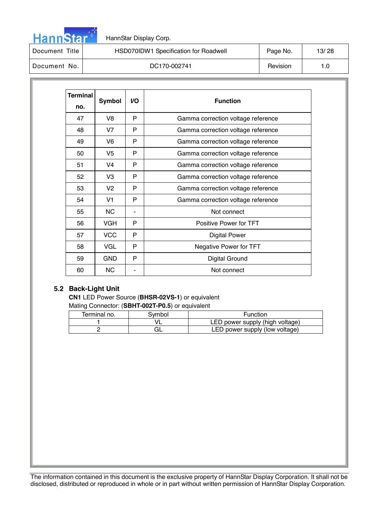

| Document Title | HSD070IDW1 Specification for Roadwell | Page No. | 13/28 |
|----------------|---------------------------------------|----------|-------|
| Document No.   | DC170-002741                          | Revision |       |

| Terminal<br>no. | <b>Symbol</b>  | VO. | <b>Function</b>                    |  |  |
|-----------------|----------------|-----|------------------------------------|--|--|
| 47              | V8             | P   | Gamma correction voltage reference |  |  |
| 48              | V <sub>7</sub> | P   | Gamma correction voltage reference |  |  |
| 49              | V6             | P   | Gamma correction voltage reference |  |  |
| 50              | V <sub>5</sub> | P   | Gamma correction voltage reference |  |  |
| 51              | V4             | P   | Gamma correction voltage reference |  |  |
| 52              | V3             | P   | Gamma correction voltage reference |  |  |
| 53              | V <sub>2</sub> | P   | Gamma correction voltage reference |  |  |
| 54              | V <sub>1</sub> | P   | Gamma correction voltage reference |  |  |
| 55              | <b>NC</b>      |     | Not connect                        |  |  |
| 56              | <b>VGH</b>     | P   | Positive Power for TFT             |  |  |
| 57              | <b>VCC</b>     | P   | <b>Digital Power</b>               |  |  |
| 58              | VGL            | P   | Negative Power for TFT             |  |  |
| 59              | <b>GND</b>     | P   | <b>Digital Ground</b>              |  |  |
| 60              | NC.            |     | Not connect                        |  |  |

#### **5.2 Back-Light Unit**

**CN1** LED Power Source (**BHSR-02VS-1**) or equivalent Mating Connector: (**SBHT-002T-P0.5**) or equivalent

| Terminal no. | 3vmbol | Function                        |
|--------------|--------|---------------------------------|
|              |        | LED power supply (high voltage) |
|              |        | LED power supply (low voltage)  |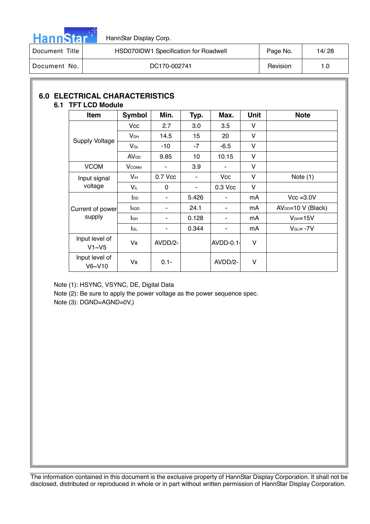

| Document Title | HSD070IDW1 Specification for Roadwell | Page No. | 14/28 |
|----------------|---------------------------------------|----------|-------|
| Document No.   | DC170-002741                          | Revision |       |

#### **6.0 ELECTRICAL CHARACTERISTICS 6.1 TFT LCD Module**

| <b>Item</b>                        | Symbol                 | Min.     | Typ.  | Max.       | Unit | <b>Note</b>         |
|------------------------------------|------------------------|----------|-------|------------|------|---------------------|
|                                    | <b>Vcc</b>             | 2.7      | 3.0   | 3.5        | v    |                     |
|                                    | V <sub>GH</sub>        | 14.5     | 15    | 20         | v    |                     |
| Supply Voltage                     | $V_{GL}$               | $-10$    | $-7$  | $-6.5$     | V    |                     |
|                                    | <b>AV<sub>DD</sub></b> | 9.85     | 10    | 10.15      | V    |                     |
| <b>VCOM</b>                        | <b>V</b> comin         | ۰        | 3.9   |            | V    |                     |
| Input signal                       | $V_{iH}$               | 0.7 Vcc  |       | <b>Vcc</b> | V    | Note $(1)$          |
| voltage                            | Vil                    | $\Omega$ |       | 0.3 Vcc    | V    |                     |
|                                    | $I_{DD}$               | ۰        | 5.426 |            | mA   | $Vcc = 3.0V$        |
| Current of power                   | ADD                    |          | 24.1  | ۰          | mA   | $AVDD=10 V (Black)$ |
| supply                             | lан                    | ۰        | 0.128 |            | mA   | $VGH=15V$           |
|                                    | <b>I</b> GL            | ۰        | 0.344 |            | mA   | $V_{GL} = -7V$      |
| Input level of<br>V1~V5            | Vx                     | AVDD/2-  |       | $AVDD-0.1$ | V    |                     |
| Input level of<br>$V_6 \sim V_1 0$ | Vx                     | $0.1 -$  |       | AVDD/2-    | V    |                     |

Note (1): HSYNC, VSYNC, DE, Digital Data

Note (2): Be sure to apply the power voltage as the power sequence spec.

Note (3): DGND=AGND=0V,)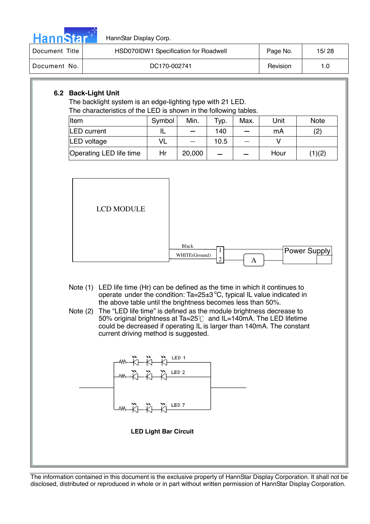

| Document Title | HSD070IDW1 Specification for Roadwell | Page No. | 15/28 |
|----------------|---------------------------------------|----------|-------|
| Document No.   | DC170-002741                          | Revision |       |

# **6.2 Back-Light Unit**

The backlight system is an edge-lighting type with 21 LED. The characteristics of the LED is shown in the following tables.

| Item                    | Symbol | Min.   | Typ. | Max. | Unit | <b>Note</b> |
|-------------------------|--------|--------|------|------|------|-------------|
| <b>LED</b> current      |        |        | 140  |      | mA   | (2)         |
| LED voltage             | VL     |        | 10.5 |      |      |             |
| Operating LED life time | Hr     | 20,000 |      |      | Hour | (1)(2)      |



- Note (1) LED life time (Hr) can be defined as the time in which it continues to operate under the condition:  $Ta = 25 \pm 3 \degree C$ , typical IL value indicated in the above table until the brightness becomes less than 50%.
- Note (2) The "LED life time" is defined as the module brightness decrease to 50% original brightness at Ta=25 $\degree$ C and IL=140mA. The LED lifetime could be decreased if operating IL is larger than 140mA. The constant current driving method is suggested.

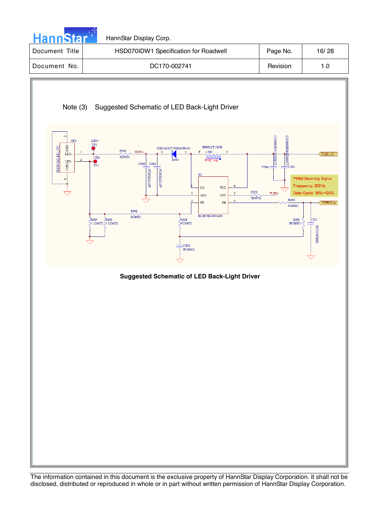

| Document Title | HSD070IDW1 Specification for Roadwell | Page No. | 16/28 |
|----------------|---------------------------------------|----------|-------|
| Document No.   | DC170-002741                          | Revision |       |

# Note (3) Suggested Schematic of LED Back-Light Driver



#### **Suggested Schematic of LED Back-Light Driver**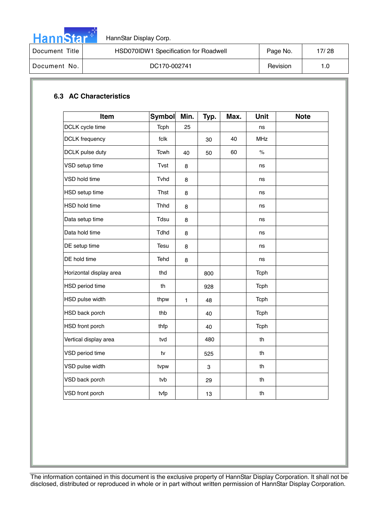

| Document Title | HSD070IDW1 Specification for Roadwell | Page No. | 17/28 |
|----------------|---------------------------------------|----------|-------|
| Document No.   | DC170-002741                          | Revision | 1.O   |

# **6.3 AC Characteristics**

| Item                    | <b>Symbol</b> | Min.         | Typ. | Max. | Unit        | <b>Note</b> |
|-------------------------|---------------|--------------|------|------|-------------|-------------|
| DCLK cycle time         | Tcph          | 25           |      |      | ns          |             |
| <b>DCLK</b> frequency   | fclk          |              | 30   | 40   | MHz         |             |
| DCLK pulse duty         | Tcwh          | 40           | 50   | 60   | $\%$        |             |
| VSD setup time          | Tvst          | 8            |      |      | ns          |             |
| VSD hold time           | Tvhd          | 8            |      |      | ns          |             |
| HSD setup time          | Thst          | 8            |      |      | ns          |             |
| HSD hold time           | Thhd          | 8            |      |      | ns          |             |
| Data setup time         | Tdsu          | 8            |      |      | ns          |             |
| Data hold time          | Tdhd          | 8            |      |      | ns          |             |
| DE setup time           | Tesu          | 8            |      |      | ns          |             |
| DE hold time            | Tehd          | 8            |      |      | ns          |             |
| Horizontal display area | thd           |              | 800  |      | <b>Tcph</b> |             |
| HSD period time         | th            |              | 928  |      | Tcph        |             |
| HSD pulse width         | thpw          | $\mathbf{1}$ | 48   |      | <b>Tcph</b> |             |
| HSD back porch          | thb           |              | 40   |      | Tcph        |             |
| HSD front porch         | thfp          |              | 40   |      | Tcph        |             |
| Vertical display area   | tvd           |              | 480  |      | th          |             |
| VSD period time         | tv            |              | 525  |      | th          |             |
| VSD pulse width         | tvpw          |              | 3    |      | th          |             |
| VSD back porch          | tvb           |              | 29   |      | th          |             |
| VSD front porch         | tvfp          |              | 13   |      | th          |             |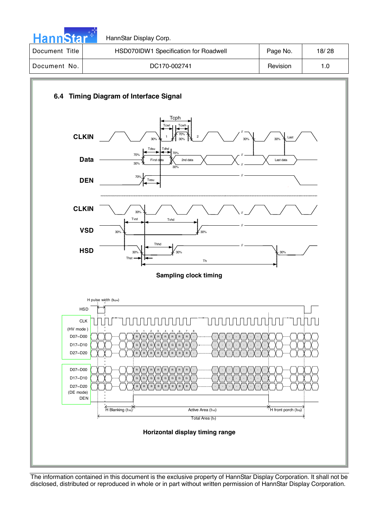



The information contained in this document is the exclusive property of HannStar Display Corporation. It shall not be disclosed, distributed or reproduced in whole or in part without written permission of HannStar Display Corporation.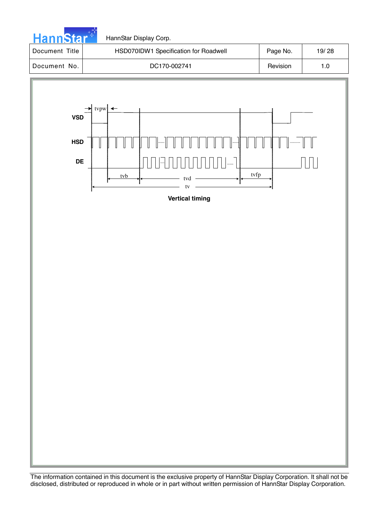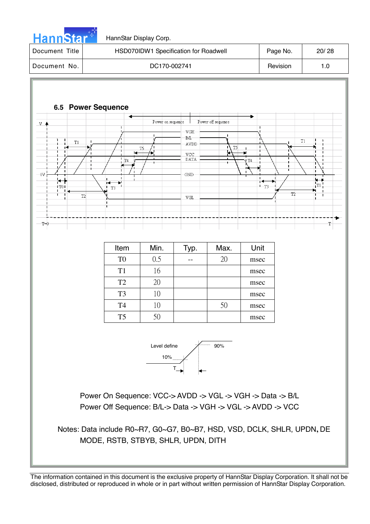

| Document Title | HSD070IDW1 Specification for Roadwell | Page No. | 20/28 |
|----------------|---------------------------------------|----------|-------|
| Document No.   | DC170-002741                          | Revision | 1.0   |

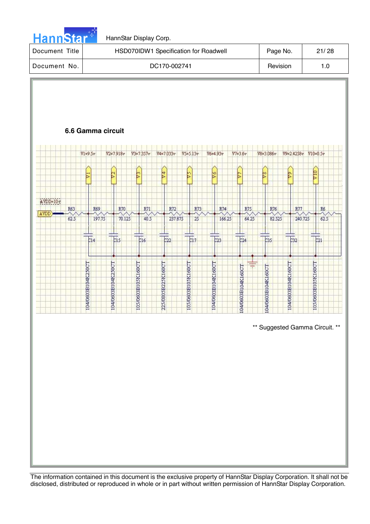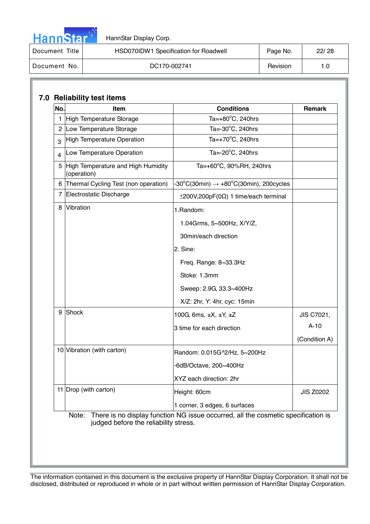| <u>annsta</u> |  |
|---------------|--|

| Document Title | HSD070IDW1 Specification for Roadwell | Page No. | 22/28 |
|----------------|---------------------------------------|----------|-------|
| Document No.   | DC170-002741                          | Revision |       |

| No.            | <b>Item</b>                                       | <b>Conditions</b>                                                                 | Remark        |
|----------------|---------------------------------------------------|-----------------------------------------------------------------------------------|---------------|
|                | 1 High Temperature Storage                        | Ta= $+80^{\circ}$ C, 240hrs                                                       |               |
|                | 2 Low Temperature Storage                         | Ta=-30°C, 240hrs                                                                  |               |
| 3              | <b>High Temperature Operation</b>                 | Ta= $+70^{\circ}$ C, 240hrs                                                       |               |
| 4              | Low Temperature Operation                         | Ta=-20°C, 240hrs                                                                  |               |
| 5              | High Temperature and High Humidity<br>(operation) | Ta=+60 $^{\circ}$ C, 90%RH, 240hrs                                                |               |
|                | 6 Thermal Cycling Test (non operation)            | $-30^{\circ}$ C(30min) $\rightarrow +80^{\circ}$ C(30min), 200cycles              |               |
| $\overline{7}$ | Electrostatic Discharge                           | $\pm$ 200V,200pF(0 $\Omega$ ) 1 time/each terminal                                |               |
| 8              | Vibration                                         | 1.Random:                                                                         |               |
|                |                                                   | 1.04Grms, 5~500Hz, X/Y/Z,                                                         |               |
|                |                                                   | 30min/each direction                                                              |               |
|                |                                                   | 2. Sine:                                                                          |               |
|                |                                                   | Freq. Range: 8~33.3Hz                                                             |               |
|                |                                                   | Stoke: 1.3mm                                                                      |               |
|                |                                                   | Sweep: 2.9G, 33.3~400Hz                                                           |               |
|                |                                                   | X/Z: 2hr, Y: 4hr, cyc: 15min                                                      |               |
| 9              | Shock                                             | 100G, 6ms, $\pm X$ , $\pm Y$ , $\pm Z$                                            | JIS C7021,    |
|                |                                                   | 3 time for each direction                                                         | $A-10$        |
|                |                                                   |                                                                                   | (Condition A) |
|                | 10 Vibration (with carton)                        | Random: 0.015G^2/Hz, 5~200Hz                                                      |               |
|                |                                                   | -6dB/Octave, 200~400Hz                                                            |               |
|                |                                                   | XYZ each direction: 2hr                                                           |               |
|                | 11 Drop (with carton)                             | <b>JIS Z0202</b>                                                                  |               |
|                |                                                   | 1 corner, 3 edges, 6 surfaces                                                     |               |
|                | Note:<br>judged before the reliability stress.    | There is no display function NG issue occurred, all the cosmetic specification is |               |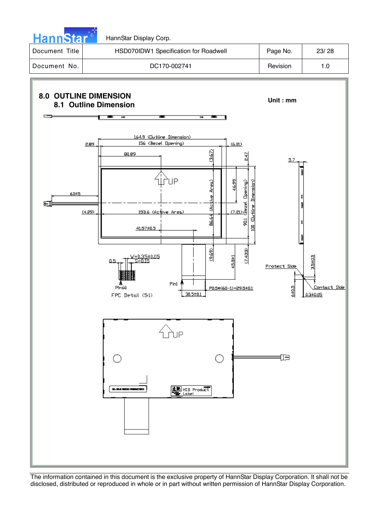

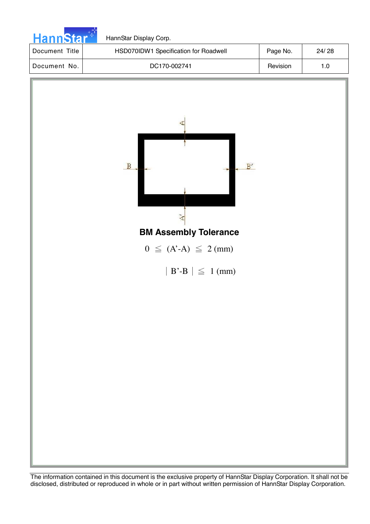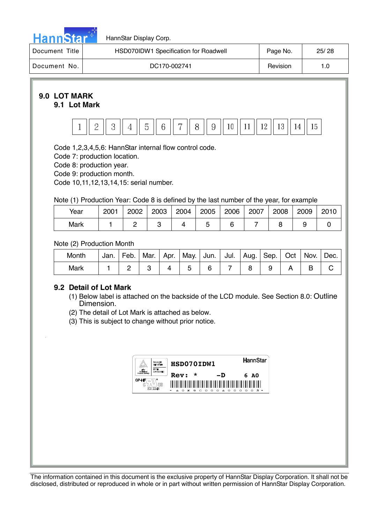

| Document Title | HSD070IDW1 Specification for Roadwell | Page No. | 25/28 |
|----------------|---------------------------------------|----------|-------|
| Document No.   | DC170-002741                          | Revision |       |

#### **9.0 LOT MARK 9.1 Lot Mark**



Code 1,2,3,4,5,6: HannStar internal flow control code.

Code 7: production location.

Code 8: production year.

Code 9: production month.

Code 10,11,12,13,14,15: serial number.

Note (1) Production Year: Code 8 is defined by the last number of the year, for example

| Year | 2001 | 2002 | 2003 | 2004 | 2005 | 2006 | 2007 | 2008 | 2009 | 2010 |
|------|------|------|------|------|------|------|------|------|------|------|
| Mark |      |      |      |      |      |      |      |      |      |      |

Note (2) Production Month

| Month | Jan. | Feb. | Mar. | Apr. | May.   Jun.   Jul.   Aug. |  | $\vert$ Sep. $\vert$ | Oct | Nov. | Dec. |
|-------|------|------|------|------|---------------------------|--|----------------------|-----|------|------|
| Mark  |      |      |      |      |                           |  |                      |     |      |      |

# **9.2 Detail of Lot Mark**

- (1) Below label is attached on the backside of the LCD module. See Section 8.0: Outline Dimension.
- (2) The detail of Lot Mark is attached as below.

(3) This is subject to change without prior notice.

| , min<br>Minimum<br>Product Callula | <b>EXPLIGATION</b><br><b>GASES CONTINUES</b><br><b>TMPE</b><br><b>AIRPROMENT</b> | HSD070IDW1<br>*                             |                   |                                                    |                           | HannStar         |                  |
|-------------------------------------|----------------------------------------------------------------------------------|---------------------------------------------|-------------------|----------------------------------------------------|---------------------------|------------------|------------------|
| GP-HF<br>G<br>E212246               | MS                                                                               | <b>Rev:</b><br>$\frac{1}{2}$<br>ĸ<br>ົ<br>A | ║<br>║<br>۰<br>C. | ת–<br>║<br>III<br>$\Omega$<br>$\Omega$<br>$\Omega$ | $\Omega$<br>$\Delta$<br>റ | 6<br>⊪<br>ີ<br>C | <b>A0</b><br>四 米 |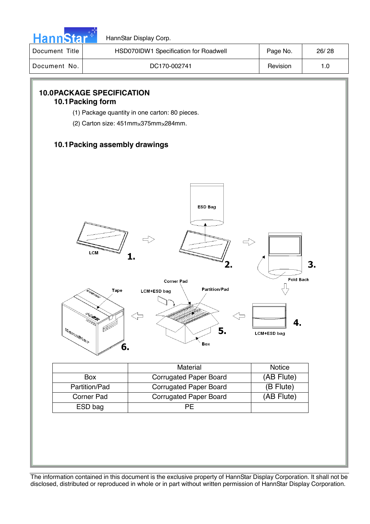

| Document Title | HSD070IDW1 Specification for Roadwell | Page No. | 26/28 |
|----------------|---------------------------------------|----------|-------|
| Document No.   | DC170-002741                          | Revision |       |

# **10.0 PACKAGE SPECIFICATION 10.1 Packing form**  (1) Package quantity in one carton: 80 pieces. (2) Carton size:  $451$ mm $\times$ 375mm $\times$ 284mm. **10.1 Packing assembly drawings**  ESD Bag LCM  $\mathbf{1}$ -<br>Fold Back **Corner Pad** Π **Partition/Pad** Tape LCM+ESD bag 4.  $\begin{picture}(20,10) \put(0,0){\line(1,0){155}} \put(15,0){\line(1,0){155}} \put(15,0){\line(1,0){155}} \put(15,0){\line(1,0){155}} \put(15,0){\line(1,0){155}} \put(15,0){\line(1,0){155}} \put(15,0){\line(1,0){155}} \put(15,0){\line(1,0){155}} \put(15,0){\line(1,0){155}} \put(15,0){\line(1,0){155}} \put(15,0){\line(1,0){155}} \$ Æ 5. LCM+ESD bag Box 6. Material Notice Box Corrugated Paper Board (AB Flute) Partition/Pad Corrugated Paper Board (B Flute)

3.

The information contained in this document is the exclusive property of HannStar Display Corporation. It shall not be disclosed, distributed or reproduced in whole or in part without written permission of HannStar Display Corporation.

Corner Pad Corrugated Paper Board | (AB Flute)

ESD bag PE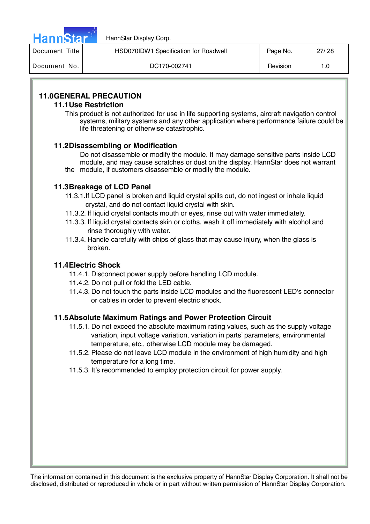

| Document Title | HSD070IDW1 Specification for Roadwell |          | 27/28 |
|----------------|---------------------------------------|----------|-------|
| Document No.   | DC170-002741                          | Revision |       |

# **11.0 GENERAL PRECAUTION**

#### **11.1 Use Restriction**

This product is not authorized for use in life supporting systems, aircraft navigation control systems, military systems and any other application where performance failure could be life threatening or otherwise catastrophic.

#### **11.2 Disassembling or Modification**

 Do not disassemble or modify the module. It may damage sensitive parts inside LCD module, and may cause scratches or dust on the display. HannStar does not warrant the module, if customers disassemble or modify the module.

### **11.3 Breakage of LCD Panel**

- 11.3.1.If LCD panel is broken and liquid crystal spills out, do not ingest or inhale liquid crystal, and do not contact liquid crystal with skin.
- 11.3.2. If liquid crystal contacts mouth or eyes, rinse out with water immediately.
- 11.3.3. If liquid crystal contacts skin or cloths, wash it off immediately with alcohol and rinse thoroughly with water.
- 11.3.4. Handle carefully with chips of glass that may cause injury, when the glass is broken.

#### **11.4 Electric Shock**

- 11.4.1. Disconnect power supply before handling LCD module.
- 11.4.2. Do not pull or fold the LED cable.
- 11.4.3. Do not touch the parts inside LCD modules and the fluorescent LED's connector or cables in order to prevent electric shock.

#### **11.5 Absolute Maximum Ratings and Power Protection Circuit**

- 11.5.1. Do not exceed the absolute maximum rating values, such as the supply voltage variation, input voltage variation, variation in parts' parameters, environmental temperature, etc., otherwise LCD module may be damaged.
- 11.5.2. Please do not leave LCD module in the environment of high humidity and high temperature for a long time.
- 11.5.3. It's recommended to employ protection circuit for power supply.